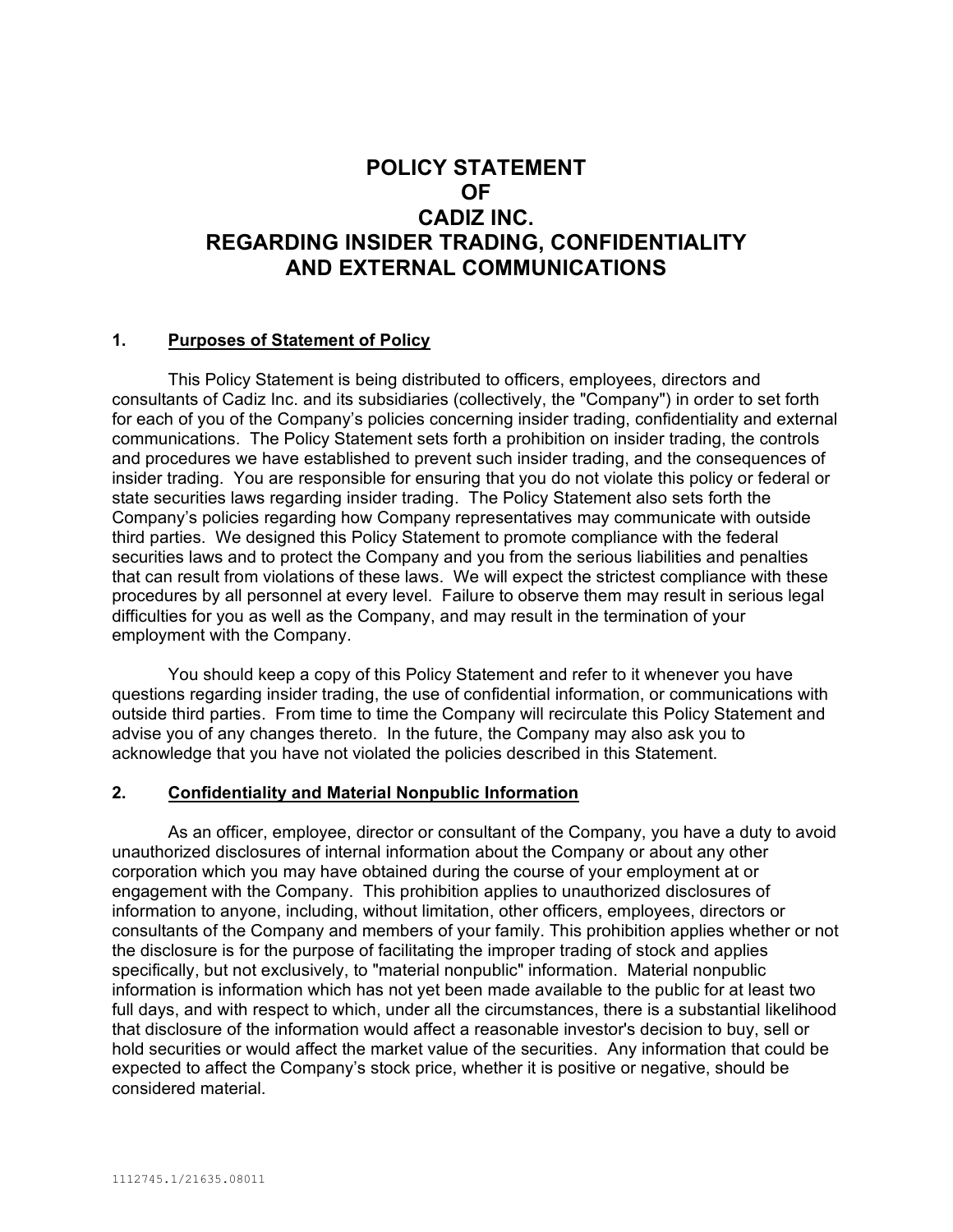# **POLICY STATEMENT OF CADIZ INC. REGARDING INSIDER TRADING, CONFIDENTIALITY AND EXTERNAL COMMUNICATIONS**

#### **1. Purposes of Statement of Policy**

This Policy Statement is being distributed to officers, employees, directors and consultants of Cadiz Inc. and its subsidiaries (collectively, the "Company") in order to set forth for each of you of the Company's policies concerning insider trading, confidentiality and external communications. The Policy Statement sets forth a prohibition on insider trading, the controls and procedures we have established to prevent such insider trading, and the consequences of insider trading. You are responsible for ensuring that you do not violate this policy or federal or state securities laws regarding insider trading. The Policy Statement also sets forth the Company's policies regarding how Company representatives may communicate with outside third parties. We designed this Policy Statement to promote compliance with the federal securities laws and to protect the Company and you from the serious liabilities and penalties that can result from violations of these laws. We will expect the strictest compliance with these procedures by all personnel at every level. Failure to observe them may result in serious legal difficulties for you as well as the Company, and may result in the termination of your employment with the Company.

You should keep a copy of this Policy Statement and refer to it whenever you have questions regarding insider trading, the use of confidential information, or communications with outside third parties. From time to time the Company will recirculate this Policy Statement and advise you of any changes thereto. In the future, the Company may also ask you to acknowledge that you have not violated the policies described in this Statement.

#### **2. Confidentiality and Material Nonpublic Information**

As an officer, employee, director or consultant of the Company, you have a duty to avoid unauthorized disclosures of internal information about the Company or about any other corporation which you may have obtained during the course of your employment at or engagement with the Company. This prohibition applies to unauthorized disclosures of information to anyone, including, without limitation, other officers, employees, directors or consultants of the Company and members of your family. This prohibition applies whether or not the disclosure is for the purpose of facilitating the improper trading of stock and applies specifically, but not exclusively, to "material nonpublic" information. Material nonpublic information is information which has not yet been made available to the public for at least two full days, and with respect to which, under all the circumstances, there is a substantial likelihood that disclosure of the information would affect a reasonable investor's decision to buy, sell or hold securities or would affect the market value of the securities. Any information that could be expected to affect the Company's stock price, whether it is positive or negative, should be considered material.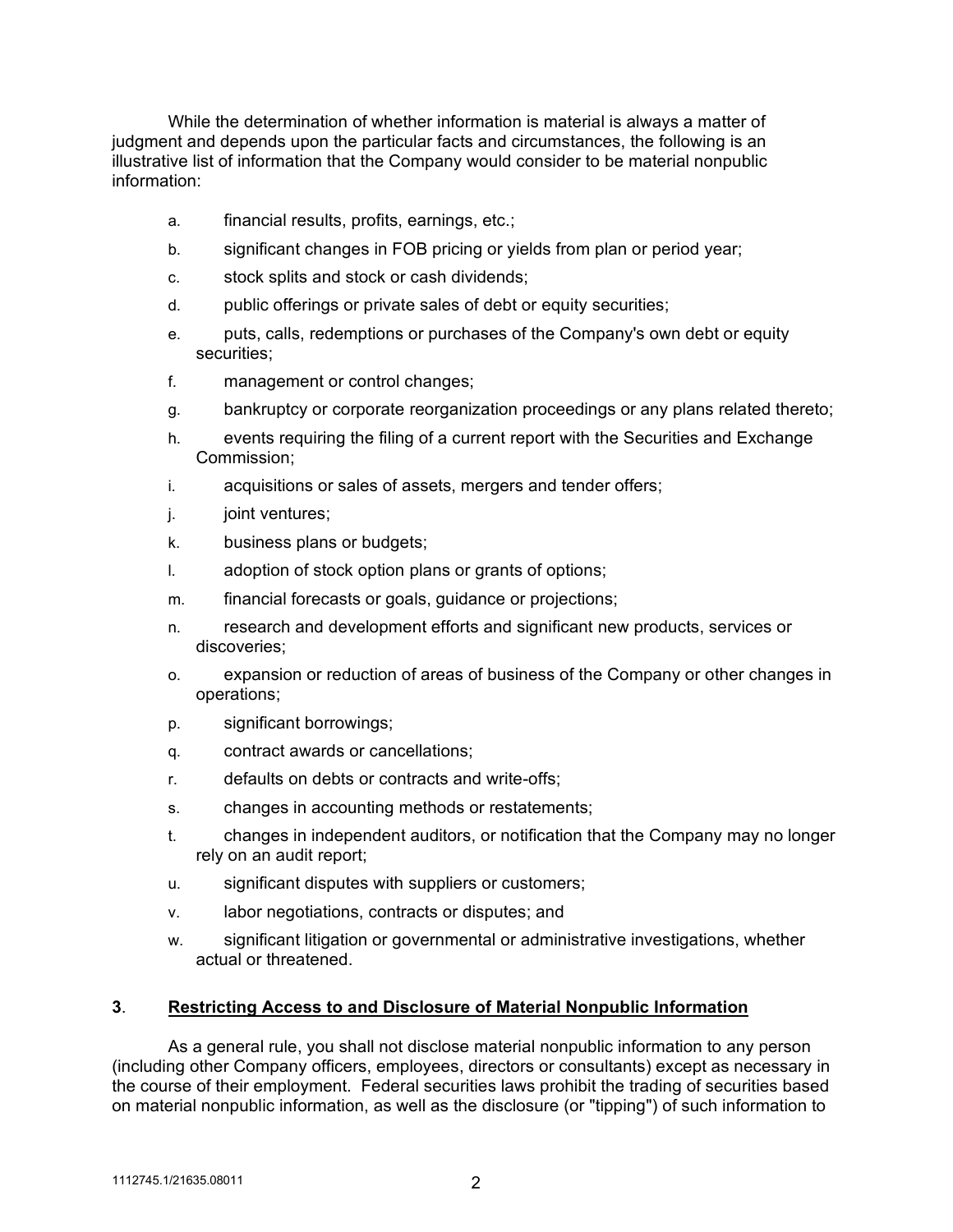While the determination of whether information is material is always a matter of judgment and depends upon the particular facts and circumstances, the following is an illustrative list of information that the Company would consider to be material nonpublic information:

- a. financial results, profits, earnings, etc.;
- b. significant changes in FOB pricing or yields from plan or period year;
- c. stock splits and stock or cash dividends;
- d. public offerings or private sales of debt or equity securities;
- e. puts, calls, redemptions or purchases of the Company's own debt or equity securities;
- f. management or control changes;
- g. bankruptcy or corporate reorganization proceedings or any plans related thereto;
- h. events requiring the filing of a current report with the Securities and Exchange Commission;
- i. acquisitions or sales of assets, mergers and tender offers;
- j. joint ventures;
- k. business plans or budgets;
- l. adoption of stock option plans or grants of options;
- m. financial forecasts or goals, guidance or projections;
- n. research and development efforts and significant new products, services or discoveries;
- o. expansion or reduction of areas of business of the Company or other changes in operations;
- p. significant borrowings;
- q. contract awards or cancellations;
- r. defaults on debts or contracts and write-offs;
- s. changes in accounting methods or restatements;
- t. changes in independent auditors, or notification that the Company may no longer rely on an audit report;
- u. significant disputes with suppliers or customers;
- v. labor negotiations, contracts or disputes; and
- w. significant litigation or governmental or administrative investigations, whether actual or threatened.

### **3**. **Restricting Access to and Disclosure of Material Nonpublic Information**

As a general rule, you shall not disclose material nonpublic information to any person (including other Company officers, employees, directors or consultants) except as necessary in the course of their employment. Federal securities laws prohibit the trading of securities based on material nonpublic information, as well as the disclosure (or "tipping") of such information to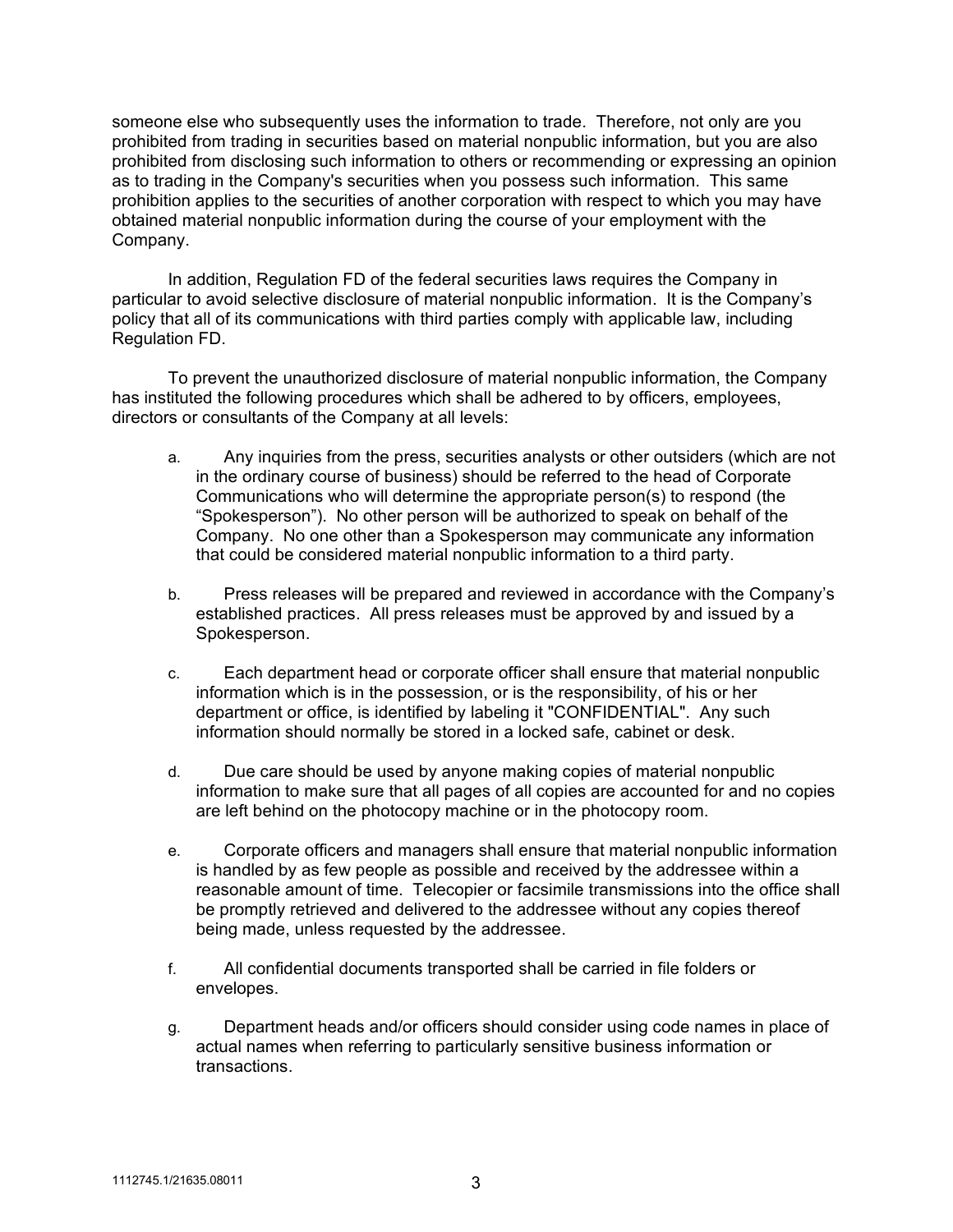someone else who subsequently uses the information to trade. Therefore, not only are you prohibited from trading in securities based on material nonpublic information, but you are also prohibited from disclosing such information to others or recommending or expressing an opinion as to trading in the Company's securities when you possess such information. This same prohibition applies to the securities of another corporation with respect to which you may have obtained material nonpublic information during the course of your employment with the Company.

In addition, Regulation FD of the federal securities laws requires the Company in particular to avoid selective disclosure of material nonpublic information. It is the Company's policy that all of its communications with third parties comply with applicable law, including Regulation FD.

To prevent the unauthorized disclosure of material nonpublic information, the Company has instituted the following procedures which shall be adhered to by officers, employees, directors or consultants of the Company at all levels:

- a. Any inquiries from the press, securities analysts or other outsiders (which are not in the ordinary course of business) should be referred to the head of Corporate Communications who will determine the appropriate person(s) to respond (the "Spokesperson"). No other person will be authorized to speak on behalf of the Company. No one other than a Spokesperson may communicate any information that could be considered material nonpublic information to a third party.
- b. Press releases will be prepared and reviewed in accordance with the Company's established practices. All press releases must be approved by and issued by a Spokesperson.
- c. Each department head or corporate officer shall ensure that material nonpublic information which is in the possession, or is the responsibility, of his or her department or office, is identified by labeling it "CONFIDENTIAL". Any such information should normally be stored in a locked safe, cabinet or desk.
- d. Due care should be used by anyone making copies of material nonpublic information to make sure that all pages of all copies are accounted for and no copies are left behind on the photocopy machine or in the photocopy room.
- e. Corporate officers and managers shall ensure that material nonpublic information is handled by as few people as possible and received by the addressee within a reasonable amount of time. Telecopier or facsimile transmissions into the office shall be promptly retrieved and delivered to the addressee without any copies thereof being made, unless requested by the addressee.
- f. All confidential documents transported shall be carried in file folders or envelopes.
- g. Department heads and/or officers should consider using code names in place of actual names when referring to particularly sensitive business information or transactions.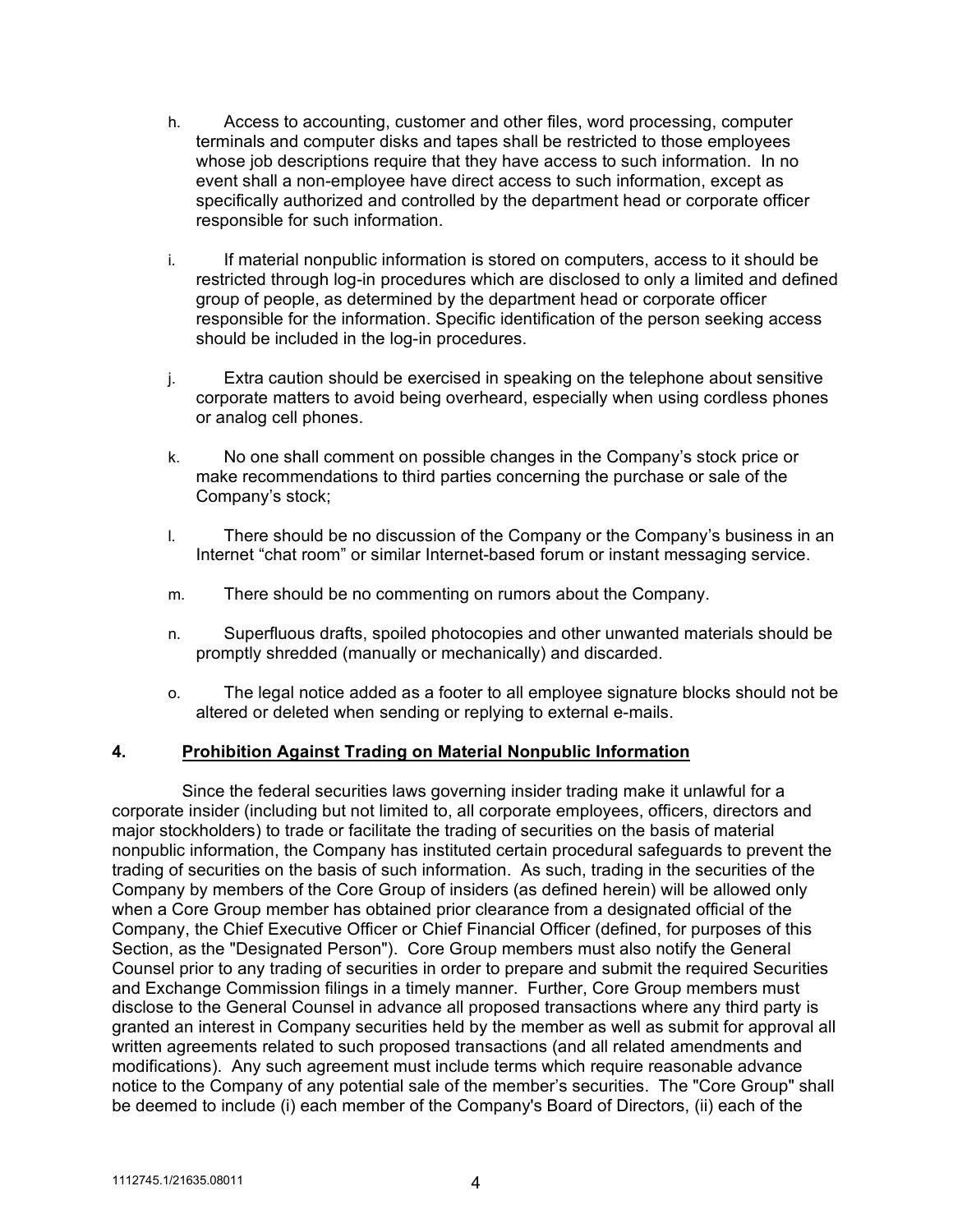- h. Access to accounting, customer and other files, word processing, computer terminals and computer disks and tapes shall be restricted to those employees whose job descriptions require that they have access to such information. In no event shall a non-employee have direct access to such information, except as specifically authorized and controlled by the department head or corporate officer responsible for such information.
- i. If material nonpublic information is stored on computers, access to it should be restricted through log-in procedures which are disclosed to only a limited and defined group of people, as determined by the department head or corporate officer responsible for the information. Specific identification of the person seeking access should be included in the log-in procedures.
- j. Extra caution should be exercised in speaking on the telephone about sensitive corporate matters to avoid being overheard, especially when using cordless phones or analog cell phones.
- k. No one shall comment on possible changes in the Company's stock price or make recommendations to third parties concerning the purchase or sale of the Company's stock;
- l. There should be no discussion of the Company or the Company's business in an Internet "chat room" or similar Internet-based forum or instant messaging service.
- m. There should be no commenting on rumors about the Company.
- n. Superfluous drafts, spoiled photocopies and other unwanted materials should be promptly shredded (manually or mechanically) and discarded.
- o. The legal notice added as a footer to all employee signature blocks should not be altered or deleted when sending or replying to external e-mails.

#### **4. Prohibition Against Trading on Material Nonpublic Information**

Since the federal securities laws governing insider trading make it unlawful for a corporate insider (including but not limited to, all corporate employees, officers, directors and major stockholders) to trade or facilitate the trading of securities on the basis of material nonpublic information, the Company has instituted certain procedural safeguards to prevent the trading of securities on the basis of such information. As such, trading in the securities of the Company by members of the Core Group of insiders (as defined herein) will be allowed only when a Core Group member has obtained prior clearance from a designated official of the Company, the Chief Executive Officer or Chief Financial Officer (defined, for purposes of this Section, as the "Designated Person"). Core Group members must also notify the General Counsel prior to any trading of securities in order to prepare and submit the required Securities and Exchange Commission filings in a timely manner. Further, Core Group members must disclose to the General Counsel in advance all proposed transactions where any third party is granted an interest in Company securities held by the member as well as submit for approval all written agreements related to such proposed transactions (and all related amendments and modifications). Any such agreement must include terms which require reasonable advance notice to the Company of any potential sale of the member's securities. The "Core Group" shall be deemed to include (i) each member of the Company's Board of Directors, (ii) each of the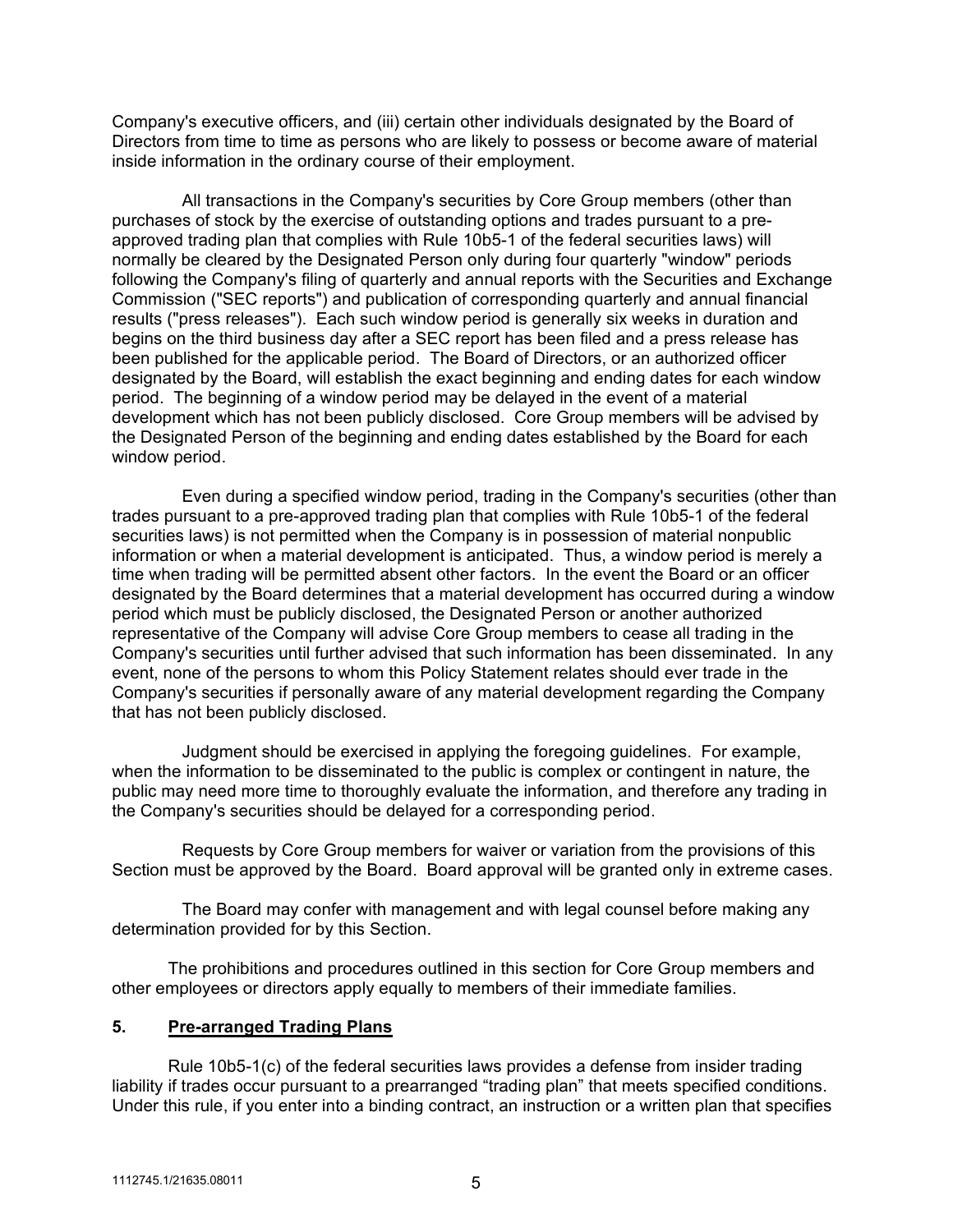Company's executive officers, and (iii) certain other individuals designated by the Board of Directors from time to time as persons who are likely to possess or become aware of material inside information in the ordinary course of their employment.

All transactions in the Company's securities by Core Group members (other than purchases of stock by the exercise of outstanding options and trades pursuant to a preapproved trading plan that complies with Rule 10b5-1 of the federal securities laws) will normally be cleared by the Designated Person only during four quarterly "window" periods following the Company's filing of quarterly and annual reports with the Securities and Exchange Commission ("SEC reports") and publication of corresponding quarterly and annual financial results ("press releases"). Each such window period is generally six weeks in duration and begins on the third business day after a SEC report has been filed and a press release has been published for the applicable period. The Board of Directors, or an authorized officer designated by the Board, will establish the exact beginning and ending dates for each window period. The beginning of a window period may be delayed in the event of a material development which has not been publicly disclosed. Core Group members will be advised by the Designated Person of the beginning and ending dates established by the Board for each window period.

Even during a specified window period, trading in the Company's securities (other than trades pursuant to a pre-approved trading plan that complies with Rule 10b5-1 of the federal securities laws) is not permitted when the Company is in possession of material nonpublic information or when a material development is anticipated. Thus, a window period is merely a time when trading will be permitted absent other factors. In the event the Board or an officer designated by the Board determines that a material development has occurred during a window period which must be publicly disclosed, the Designated Person or another authorized representative of the Company will advise Core Group members to cease all trading in the Company's securities until further advised that such information has been disseminated. In any event, none of the persons to whom this Policy Statement relates should ever trade in the Company's securities if personally aware of any material development regarding the Company that has not been publicly disclosed.

Judgment should be exercised in applying the foregoing guidelines. For example, when the information to be disseminated to the public is complex or contingent in nature, the public may need more time to thoroughly evaluate the information, and therefore any trading in the Company's securities should be delayed for a corresponding period.

Requests by Core Group members for waiver or variation from the provisions of this Section must be approved by the Board. Board approval will be granted only in extreme cases.

The Board may confer with management and with legal counsel before making any determination provided for by this Section.

The prohibitions and procedures outlined in this section for Core Group members and other employees or directors apply equally to members of their immediate families.

#### **5. Pre-arranged Trading Plans**

Rule 10b5-1(c) of the federal securities laws provides a defense from insider trading liability if trades occur pursuant to a prearranged "trading plan" that meets specified conditions. Under this rule, if you enter into a binding contract, an instruction or a written plan that specifies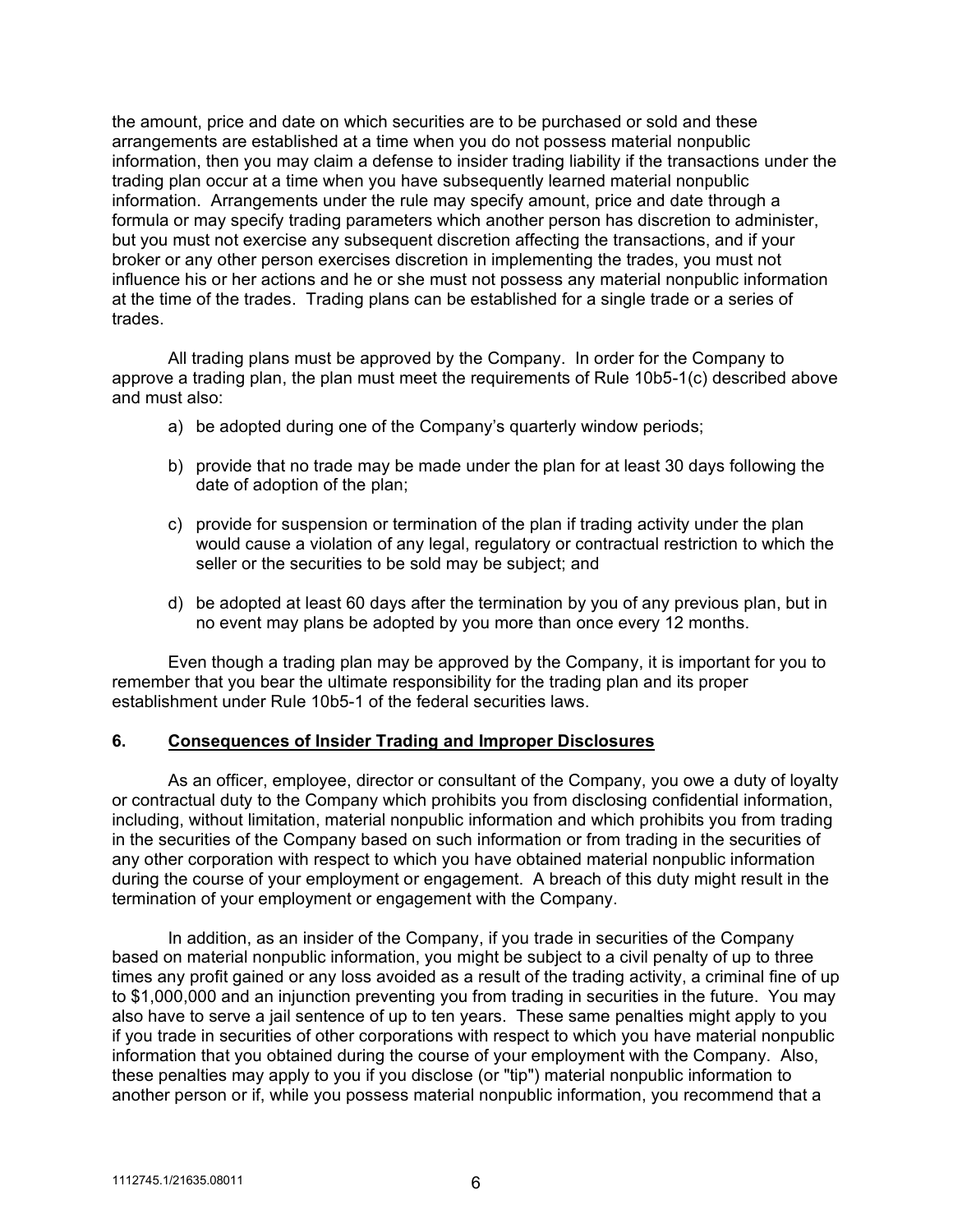the amount, price and date on which securities are to be purchased or sold and these arrangements are established at a time when you do not possess material nonpublic information, then you may claim a defense to insider trading liability if the transactions under the trading plan occur at a time when you have subsequently learned material nonpublic information. Arrangements under the rule may specify amount, price and date through a formula or may specify trading parameters which another person has discretion to administer, but you must not exercise any subsequent discretion affecting the transactions, and if your broker or any other person exercises discretion in implementing the trades, you must not influence his or her actions and he or she must not possess any material nonpublic information at the time of the trades. Trading plans can be established for a single trade or a series of trades.

All trading plans must be approved by the Company. In order for the Company to approve a trading plan, the plan must meet the requirements of Rule 10b5-1(c) described above and must also:

- a) be adopted during one of the Company's quarterly window periods;
- b) provide that no trade may be made under the plan for at least 30 days following the date of adoption of the plan;
- c) provide for suspension or termination of the plan if trading activity under the plan would cause a violation of any legal, regulatory or contractual restriction to which the seller or the securities to be sold may be subject; and
- d) be adopted at least 60 days after the termination by you of any previous plan, but in no event may plans be adopted by you more than once every 12 months.

Even though a trading plan may be approved by the Company, it is important for you to remember that you bear the ultimate responsibility for the trading plan and its proper establishment under Rule 10b5-1 of the federal securities laws.

#### **6. Consequences of Insider Trading and Improper Disclosures**

As an officer, employee, director or consultant of the Company, you owe a duty of loyalty or contractual duty to the Company which prohibits you from disclosing confidential information, including, without limitation, material nonpublic information and which prohibits you from trading in the securities of the Company based on such information or from trading in the securities of any other corporation with respect to which you have obtained material nonpublic information during the course of your employment or engagement. A breach of this duty might result in the termination of your employment or engagement with the Company.

In addition, as an insider of the Company, if you trade in securities of the Company based on material nonpublic information, you might be subject to a civil penalty of up to three times any profit gained or any loss avoided as a result of the trading activity, a criminal fine of up to \$1,000,000 and an injunction preventing you from trading in securities in the future. You may also have to serve a jail sentence of up to ten years. These same penalties might apply to you if you trade in securities of other corporations with respect to which you have material nonpublic information that you obtained during the course of your employment with the Company. Also, these penalties may apply to you if you disclose (or "tip") material nonpublic information to another person or if, while you possess material nonpublic information, you recommend that a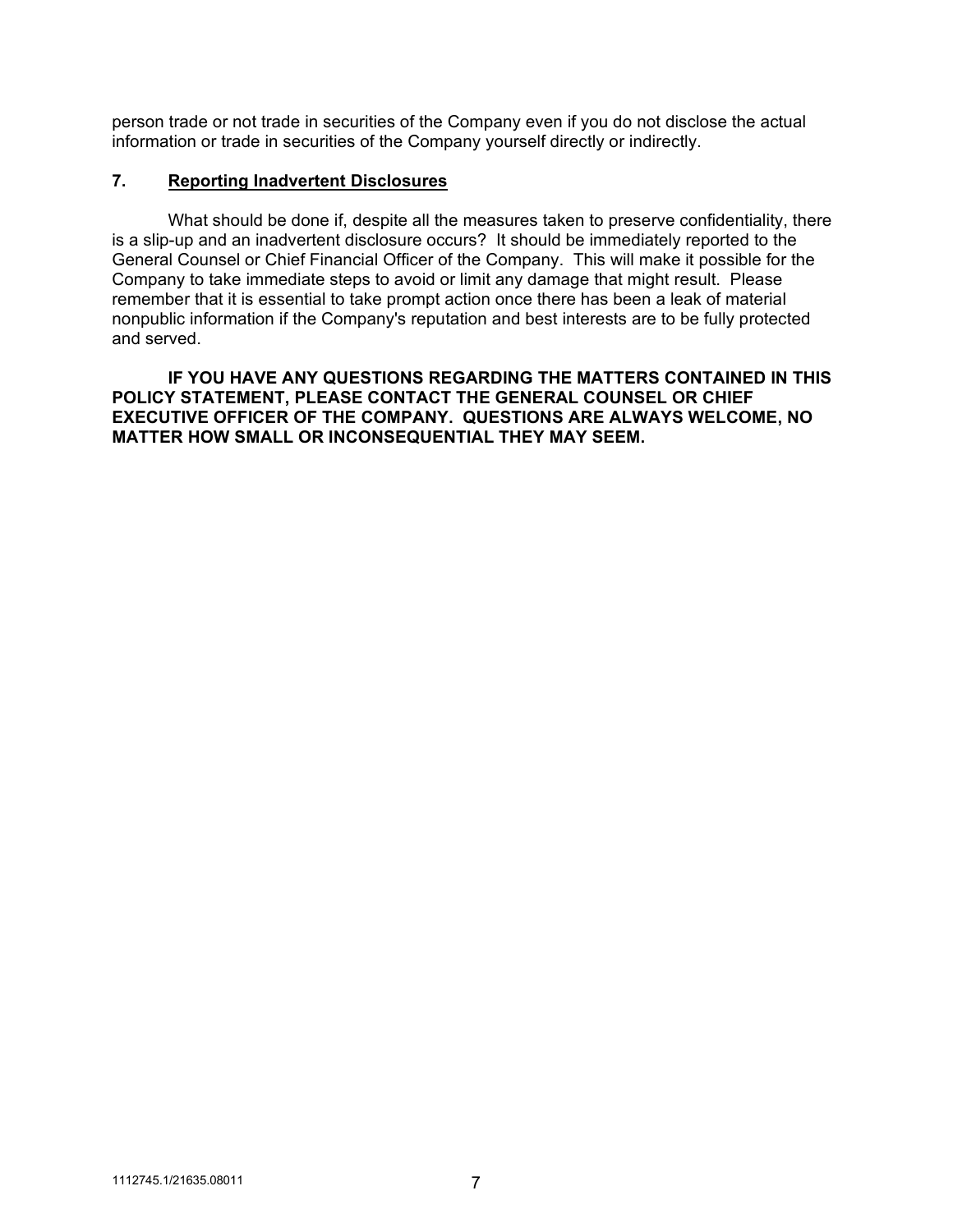person trade or not trade in securities of the Company even if you do not disclose the actual information or trade in securities of the Company yourself directly or indirectly.

## **7. Reporting Inadvertent Disclosures**

What should be done if, despite all the measures taken to preserve confidentiality, there is a slip-up and an inadvertent disclosure occurs? It should be immediately reported to the General Counsel or Chief Financial Officer of the Company. This will make it possible for the Company to take immediate steps to avoid or limit any damage that might result. Please remember that it is essential to take prompt action once there has been a leak of material nonpublic information if the Company's reputation and best interests are to be fully protected and served.

**IF YOU HAVE ANY QUESTIONS REGARDING THE MATTERS CONTAINED IN THIS POLICY STATEMENT, PLEASE CONTACT THE GENERAL COUNSEL OR CHIEF EXECUTIVE OFFICER OF THE COMPANY. QUESTIONS ARE ALWAYS WELCOME, NO MATTER HOW SMALL OR INCONSEQUENTIAL THEY MAY SEEM.**